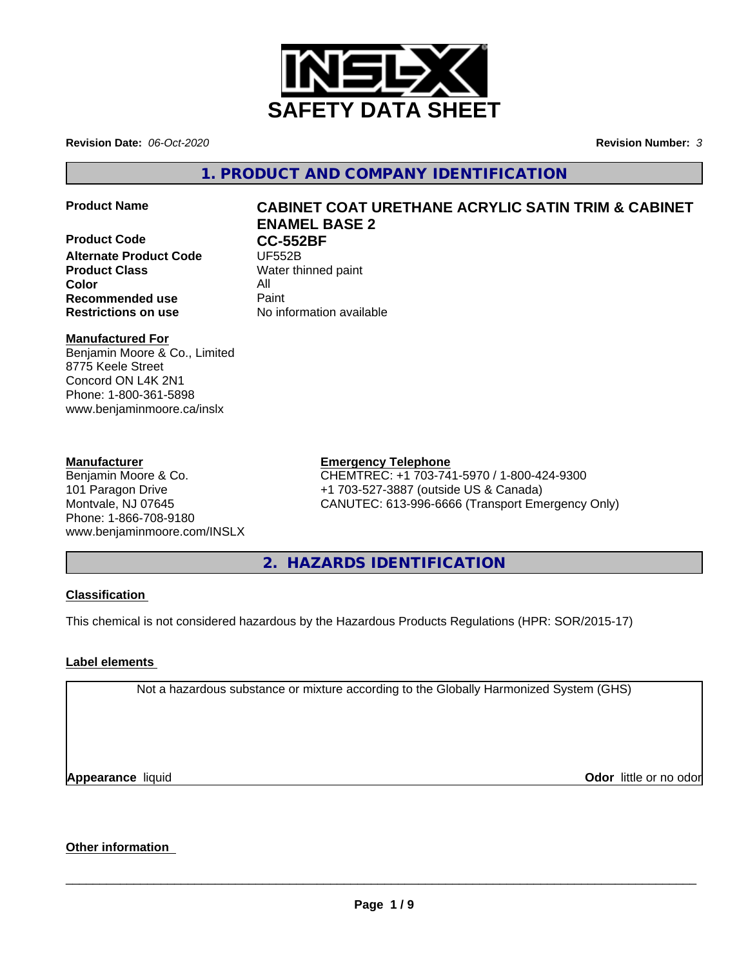

**Revision Date:** *06-Oct-2020* **Revision Number:** *3*

**1. PRODUCT AND COMPANY IDENTIFICATION**

**Product Code CC-552BF**<br>Alternate Product Code **UF552B Alternate Product Code Product Class** Water thinned paint **Color** All **Recommended use** Paint

# **Product Name CABINET COAT URETHANE ACRYLIC SATIN TRIM & CABINET ENAMEL BASE 2**

**Restrictions on use** No information available

# **Manufactured For**

Benjamin Moore & Co., Limited 8775 Keele Street Concord ON L4K 2N1 Phone: 1-800-361-5898 www.benjaminmoore.ca/inslx

# **Manufacturer**

Benjamin Moore & Co. 101 Paragon Drive Montvale, NJ 07645 Phone: 1-866-708-9180 www.benjaminmoore.com/INSLX

# **Emergency Telephone**

CHEMTREC: +1 703-741-5970 / 1-800-424-9300 +1 703-527-3887 (outside US & Canada) CANUTEC: 613-996-6666 (Transport Emergency Only)

**2. HAZARDS IDENTIFICATION**

# **Classification**

This chemical is not considered hazardous by the Hazardous Products Regulations (HPR: SOR/2015-17)

# **Label elements**

Not a hazardous substance or mixture according to the Globally Harmonized System (GHS)

**Appearance** liquid

**Odor** little or no odor

# **Other information**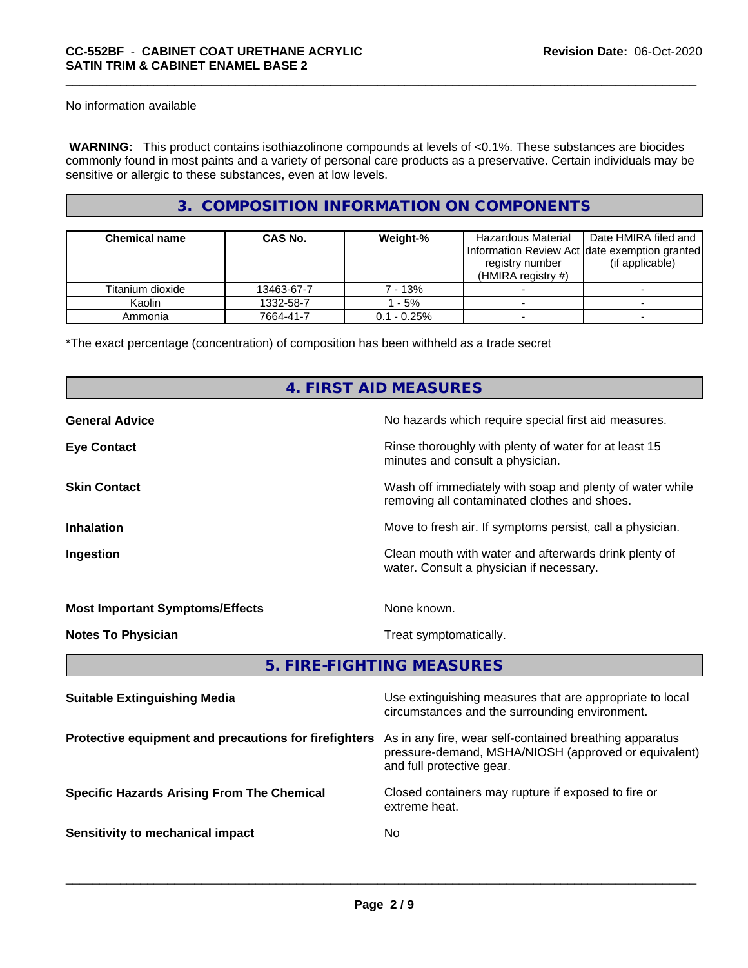No information available

 **WARNING:** This product contains isothiazolinone compounds at levels of <0.1%. These substances are biocides commonly found in most paints and a variety of personal care products as a preservative. Certain individuals may be sensitive or allergic to these substances, even at low levels.

# **3. COMPOSITION INFORMATION ON COMPONENTS**

| <b>Chemical name</b> | <b>CAS No.</b> | Weight-%       | Hazardous Material<br>Information Review Act date exemption granted<br>registry number<br>(HMIRA registry $#$ ) | Date HMIRA filed and<br>(if applicable) |
|----------------------|----------------|----------------|-----------------------------------------------------------------------------------------------------------------|-----------------------------------------|
| Titanium dioxide     | 13463-67-7     | 7 - 13%        |                                                                                                                 |                                         |
| Kaolin               | 1332-58-7      | - 5%           |                                                                                                                 |                                         |
| Ammonia              | 7664-41-7      | $0.1 - 0.25\%$ |                                                                                                                 |                                         |

\*The exact percentage (concentration) of composition has been withheld as a trade secret

# **4. FIRST AID MEASURES**

| <b>General Advice</b>                  | No hazards which require special first aid measures.                                                     |
|----------------------------------------|----------------------------------------------------------------------------------------------------------|
| <b>Eye Contact</b>                     | Rinse thoroughly with plenty of water for at least 15<br>minutes and consult a physician.                |
| <b>Skin Contact</b>                    | Wash off immediately with soap and plenty of water while<br>removing all contaminated clothes and shoes. |
| <b>Inhalation</b>                      | Move to fresh air. If symptoms persist, call a physician.                                                |
| Ingestion                              | Clean mouth with water and afterwards drink plenty of<br>water. Consult a physician if necessary.        |
| <b>Most Important Symptoms/Effects</b> | None known.                                                                                              |
| <b>Notes To Physician</b>              | Treat symptomatically.                                                                                   |
|                                        | 5. FIRE-FIGHTING MEASURES                                                                                |

| <b>Suitable Extinguishing Media</b>                   | Use extinguishing measures that are appropriate to local<br>circumstances and the surrounding environment.                                   |
|-------------------------------------------------------|----------------------------------------------------------------------------------------------------------------------------------------------|
| Protective equipment and precautions for firefighters | As in any fire, wear self-contained breathing apparatus<br>pressure-demand, MSHA/NIOSH (approved or equivalent)<br>and full protective gear. |
| <b>Specific Hazards Arising From The Chemical</b>     | Closed containers may rupture if exposed to fire or<br>extreme heat.                                                                         |
| Sensitivity to mechanical impact                      | No                                                                                                                                           |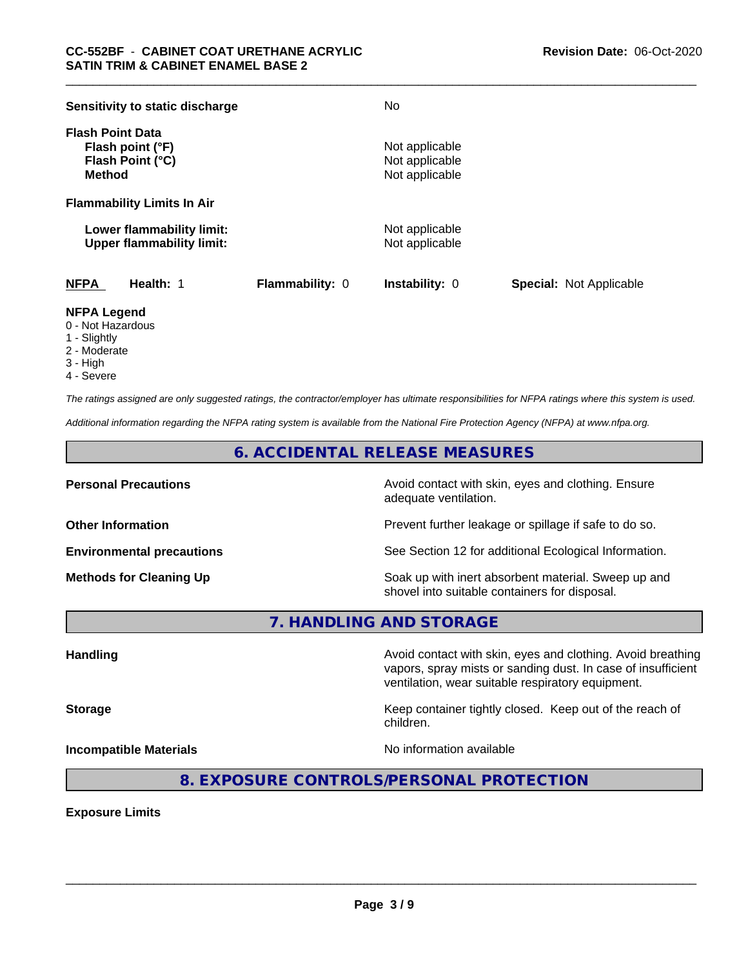| Sensitivity to static discharge                                                  |                        | No                                                 |                                |
|----------------------------------------------------------------------------------|------------------------|----------------------------------------------------|--------------------------------|
| <b>Flash Point Data</b><br>Flash point (°F)<br>Flash Point (°C)<br><b>Method</b> |                        | Not applicable<br>Not applicable<br>Not applicable |                                |
| <b>Flammability Limits In Air</b>                                                |                        |                                                    |                                |
| Lower flammability limit:<br><b>Upper flammability limit:</b>                    |                        | Not applicable<br>Not applicable                   |                                |
| <b>NFPA</b><br>Health: 1                                                         | <b>Flammability: 0</b> | <b>Instability: 0</b>                              | <b>Special: Not Applicable</b> |

# **NFPA Legend**

- 0 Not Hazardous
- 1 Slightly
- 2 Moderate
- 3 High
- 4 Severe

*The ratings assigned are only suggested ratings, the contractor/employer has ultimate responsibilities for NFPA ratings where this system is used.*

*Additional information regarding the NFPA rating system is available from the National Fire Protection Agency (NFPA) at www.nfpa.org.*

**6. ACCIDENTAL RELEASE MEASURES**

**Personal Precautions Precautions** Avoid contact with skin, eyes and clothing. Ensure adequate ventilation.

**Other Information Other Information Prevent further leakage or spillage if safe to do so.** 

**Environmental precautions** See Section 12 for additional Ecological Information.

**Methods for Cleaning Up Example 20 Soak** up with inert absorbent material. Sweep up and shovel into suitable containers for disposal.

vapors, spray mists or sanding dust. In case of insufficient

**7. HANDLING AND STORAGE**

**Handling Avoid contact with skin, eyes and clothing. Avoid breathing Handling Avoid breathing** 

**Storage Keep container tightly closed.** Keep out of the reach of

children.

ventilation, wear suitable respiratory equipment.

**Incompatible Materials Incompatible Materials No information available** 

 $\overline{\phantom{a}}$  ,  $\overline{\phantom{a}}$  ,  $\overline{\phantom{a}}$  ,  $\overline{\phantom{a}}$  ,  $\overline{\phantom{a}}$  ,  $\overline{\phantom{a}}$  ,  $\overline{\phantom{a}}$  ,  $\overline{\phantom{a}}$  ,  $\overline{\phantom{a}}$  ,  $\overline{\phantom{a}}$  ,  $\overline{\phantom{a}}$  ,  $\overline{\phantom{a}}$  ,  $\overline{\phantom{a}}$  ,  $\overline{\phantom{a}}$  ,  $\overline{\phantom{a}}$  ,  $\overline{\phantom{a}}$ 

**8. EXPOSURE CONTROLS/PERSONAL PROTECTION**

**Exposure Limits**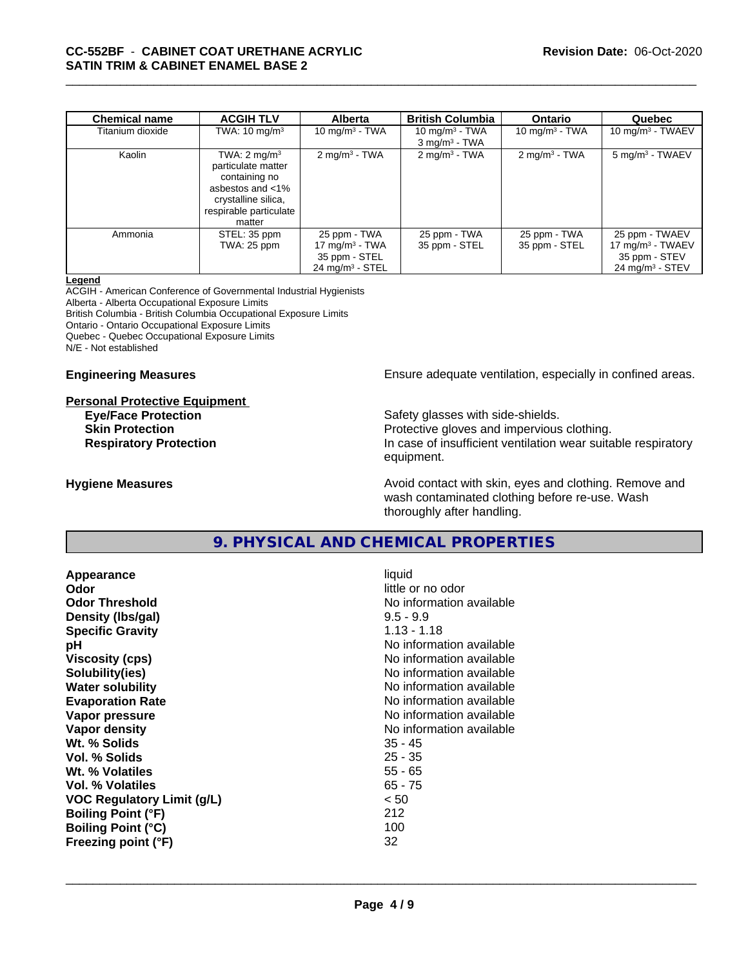| <b>Chemical name</b> | <b>ACGIH TLV</b>         | <b>Alberta</b>                | <b>British Columbia</b>     | <b>Ontario</b>              | Quebec                        |
|----------------------|--------------------------|-------------------------------|-----------------------------|-----------------------------|-------------------------------|
| Titanium dioxide     | TWA: $10 \text{ mg/m}^3$ | 10 mg/m $3$ - TWA             | 10 mg/m $3$ - TWA           | 10 mg/m $3$ - TWA           | $10 \text{ mg/m}^3$ - TWAEV   |
|                      |                          |                               | $3$ mg/m <sup>3</sup> - TWA |                             |                               |
| Kaolin               | TWA: $2 \text{ mg/m}^3$  | $2 \text{ mg/m}^3$ - TWA      | $2$ mg/m <sup>3</sup> - TWA | $2$ mg/m <sup>3</sup> - TWA | 5 mg/m <sup>3</sup> - TWAEV   |
|                      | particulate matter       |                               |                             |                             |                               |
|                      | containing no            |                               |                             |                             |                               |
|                      | asbestos and <1%         |                               |                             |                             |                               |
|                      | crystalline silica,      |                               |                             |                             |                               |
|                      | respirable particulate   |                               |                             |                             |                               |
|                      | matter                   |                               |                             |                             |                               |
| Ammonia              | STEL: 35 ppm             | 25 ppm - TWA                  | 25 ppm - TWA                | 25 ppm - TWA                | 25 ppm - TWAEV                |
|                      | TWA: 25 ppm              | $17 \text{ mg/m}^3$ - TWA     | 35 ppm - STEL               | 35 ppm - STEL               | $17 \text{ mg/m}^3$ - TWAEV   |
|                      |                          | 35 ppm - STEL                 |                             |                             | 35 ppm - STEV                 |
|                      |                          | $24$ mg/m <sup>3</sup> - STEL |                             |                             | $24$ mg/m <sup>3</sup> - STEV |

#### **Legend**

ACGIH - American Conference of Governmental Industrial Hygienists Alberta - Alberta Occupational Exposure Limits British Columbia - British Columbia Occupational Exposure Limits

Ontario - Ontario Occupational Exposure Limits

Quebec - Quebec Occupational Exposure Limits

N/E - Not established

#### **Personal Protective Equipment**

**Engineering Measures Ensure** Ensure adequate ventilation, especially in confined areas.

**Eye/Face Protection Safety glasses with side-shields. Skin Protection Protection Protective gloves and impervious clothing. Respiratory Protection In case of insufficient ventilation wear suitable respiratory** equipment.

**Hygiene Measures Avoid contact with skin, eyes and clothing. Remove and Avoid contact with skin, eyes and clothing. Remove and Avoid contact with skin, eyes and clothing. Remove and** wash contaminated clothing before re-use. Wash thoroughly after handling.

# **9. PHYSICAL AND CHEMICAL PROPERTIES**

**Appearance** liquid **Odor** little or no odor **Odor Threshold** No information available **Density (lbs/gal)** 9.5 - 9.9 **Specific Gravity** 1.13 - 1.18 **pH**<br>
Viscosity (cps) The Contract of the Contract of the Viscosity (cps) and Viscosity (cps) **Solubility(ies)** No information available **Water solubility** No information available **Evaporation Rate Evaporation Rate No information available Vapor pressure** No information available **No information** available **Vapor density No information available No information available Wt. % Solids** 35 - 45 **Vol. % Solids** 25 - 35 **Wt. % Volatiles** 55 - 65 **Vol. % Volatiles** 65 - 75 **VOC Regulatory Limit (g/L)** < 50 **Boiling Point (°F)** 212 **Boiling Point (°C)** 100 **Freezing point (°F)** 32

**Viscosity (cps)** No information available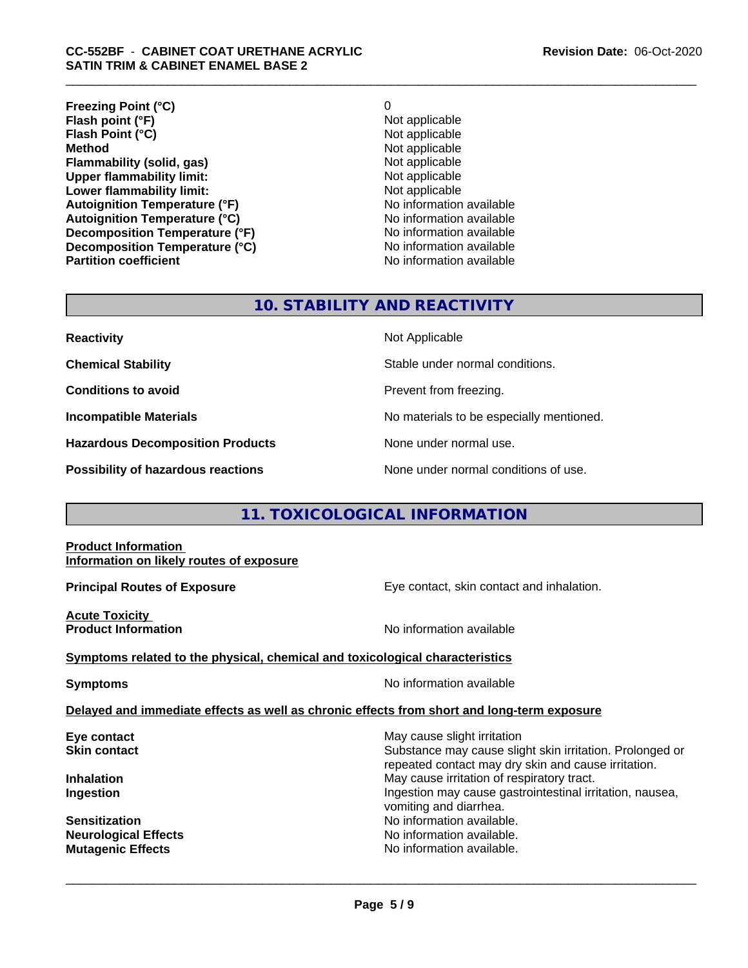| O                        |
|--------------------------|
| Not applicable           |
| Not applicable           |
| Not applicable           |
| Not applicable           |
| Not applicable           |
| Not applicable           |
| No information available |
| No information available |
| No information available |
| No information available |
| No information available |
|                          |

# **10. STABILITY AND REACTIVITY**

| <b>Reactivity</b>                       | Not Applicable                           |
|-----------------------------------------|------------------------------------------|
| <b>Chemical Stability</b>               | Stable under normal conditions.          |
| <b>Conditions to avoid</b>              | Prevent from freezing.                   |
| <b>Incompatible Materials</b>           | No materials to be especially mentioned. |
| <b>Hazardous Decomposition Products</b> | None under normal use.                   |
| Possibility of hazardous reactions      | None under normal conditions of use.     |

# **11. TOXICOLOGICAL INFORMATION**

### **Product Information Information on likely routes of exposure**

**Principal Routes of Exposure Exposure** Eye contact, skin contact and inhalation.

**Acute Toxicity** 

**Product Information Information No information available** 

## **Symptoms related to the physical,chemical and toxicological characteristics**

**Symptoms** No information available

 $\overline{\phantom{a}}$  ,  $\overline{\phantom{a}}$  ,  $\overline{\phantom{a}}$  ,  $\overline{\phantom{a}}$  ,  $\overline{\phantom{a}}$  ,  $\overline{\phantom{a}}$  ,  $\overline{\phantom{a}}$  ,  $\overline{\phantom{a}}$  ,  $\overline{\phantom{a}}$  ,  $\overline{\phantom{a}}$  ,  $\overline{\phantom{a}}$  ,  $\overline{\phantom{a}}$  ,  $\overline{\phantom{a}}$  ,  $\overline{\phantom{a}}$  ,  $\overline{\phantom{a}}$  ,  $\overline{\phantom{a}}$ 

## **Delayed and immediate effects as well as chronic effects from short and long-term exposure**

**Eye contact Exercise Solution** May cause slight irritation **Skin contact** Substance may cause slight skin irritation. Prolonged or repeated contact may dry skin and cause irritation. **Inhalation Inhalation Inhalation May cause irritation of respiratory tract. Ingestion Ingestion Ingestion may cause gastrointestinal irritation, nausea,** vomiting and diarrhea. **Sensitization No information available.** No information available. **Neurological Effects** Noinformation available. **Mutagenic Effects Mutagenic Effects No information available.**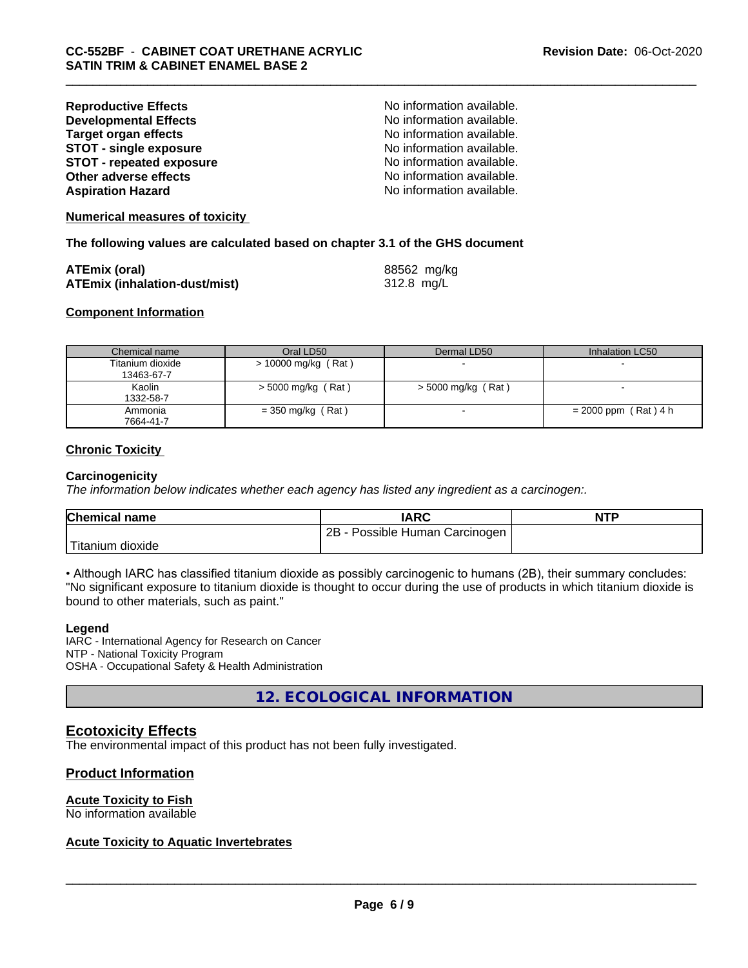| <b>Reproductive Effects</b>     | No information available. |
|---------------------------------|---------------------------|
| <b>Developmental Effects</b>    | No information available. |
| <b>Target organ effects</b>     | No information available. |
| <b>STOT - single exposure</b>   | No information available. |
| <b>STOT - repeated exposure</b> | No information available. |
| Other adverse effects           | No information available. |
| <b>Aspiration Hazard</b>        | No information available. |

**Numerical measures of toxicity**

**The following values are calculated based on chapter 3.1 of the GHS document**

| <b>ATEmix (oral)</b>                 | 88562 mg/kg |
|--------------------------------------|-------------|
| <b>ATEmix (inhalation-dust/mist)</b> | 312.8 mg/L  |

#### **Component Information**

| Chemical name                  | Oral LD50             | Dermal LD50          | Inhalation LC50        |
|--------------------------------|-----------------------|----------------------|------------------------|
| Titanium dioxide<br>13463-67-7 | $> 10000$ mg/kg (Rat) |                      |                        |
| Kaolin<br>1332-58-7            | $>$ 5000 mg/kg (Rat)  | $>$ 5000 mg/kg (Rat) |                        |
| Ammonia<br>7664-41-7           | $=$ 350 mg/kg (Rat)   |                      | $= 2000$ ppm (Rat) 4 h |

## **Chronic Toxicity**

#### **Carcinogenicity**

*The information below indicateswhether each agency has listed any ingredient as a carcinogen:.*

| <b>Chemical name</b>           | <b>IARC</b>                     | <b>NTP</b> |
|--------------------------------|---------------------------------|------------|
|                                | 2B<br>Possible Human Carcinogen |            |
| $T^*$<br>⊧dioxide<br>l itanıum |                                 |            |

• Although IARC has classified titanium dioxide as possibly carcinogenic to humans (2B), their summary concludes: "No significant exposure to titanium dioxide is thought to occur during the use of products in which titanium dioxide is bound to other materials, such as paint."

#### **Legend**

IARC - International Agency for Research on Cancer NTP - National Toxicity Program OSHA - Occupational Safety & Health Administration

**12. ECOLOGICAL INFORMATION**

## **Ecotoxicity Effects**

The environmental impact of this product has not been fully investigated.

## **Product Information**

# **Acute Toxicity to Fish**

No information available

## **Acute Toxicity to Aquatic Invertebrates**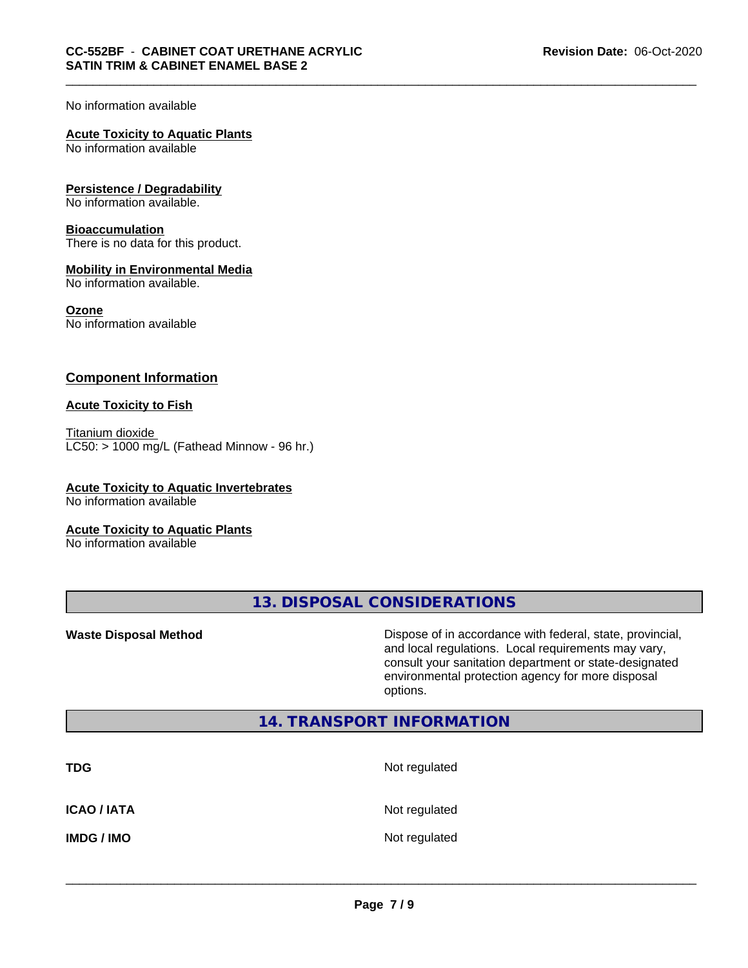### No information available

## **Acute Toxicity to Aquatic Plants**

No information available

## **Persistence / Degradability**

No information available.

### **Bioaccumulation**

There is no data for this product.

## **Mobility in Environmental Media**

No information available.

#### **Ozone**

No information available

# **Component Information**

## **Acute Toxicity to Fish**

Titanium dioxide  $LC50:$  > 1000 mg/L (Fathead Minnow - 96 hr.)

# **Acute Toxicity to Aquatic Invertebrates**

No information available

### **Acute Toxicity to Aquatic Plants**

No information available

**13. DISPOSAL CONSIDERATIONS**

**Waste Disposal Method Dispose of in accordance with federal, state, provincial,** and local regulations. Local requirements may vary, consult your sanitation department or state-designated environmental protection agency for more disposal options.

# **14. TRANSPORT INFORMATION**

| <b>TDG</b>        | Not regulated |
|-------------------|---------------|
| <b>ICAO/IATA</b>  | Not regulated |
| <b>IMDG / IMO</b> | Not regulated |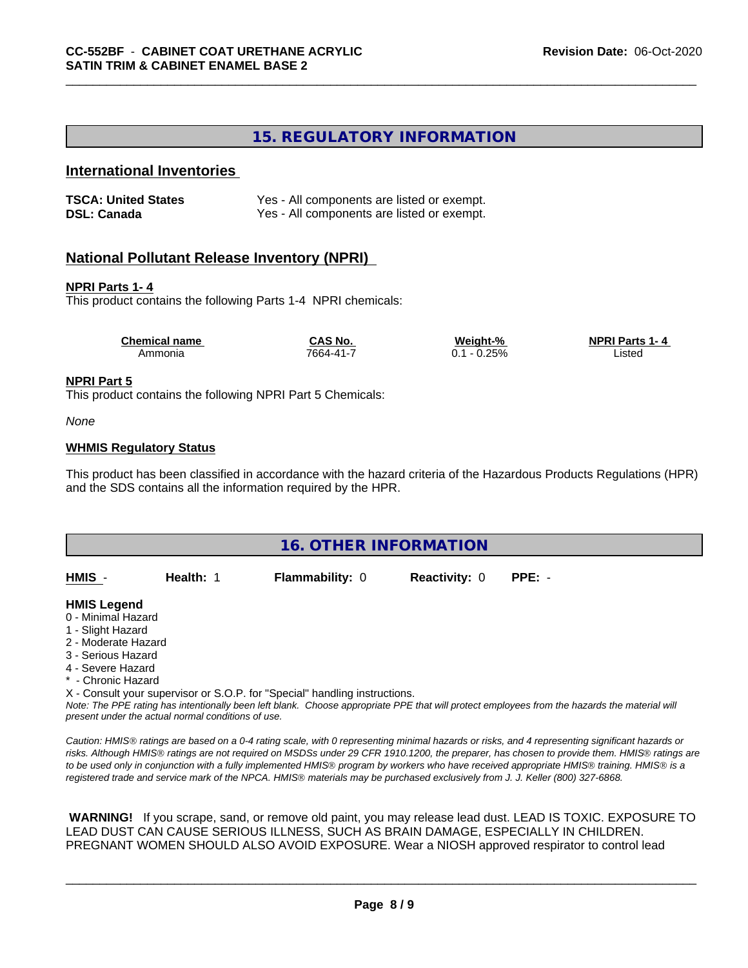# **15. REGULATORY INFORMATION**

# **International Inventories**

| <b>TSCA: United States</b> | Yes - All components are listed or exempt. |
|----------------------------|--------------------------------------------|
| <b>DSL: Canada</b>         | Yes - All components are listed or exempt. |

# **National Pollutant Release Inventory (NPRI)**

### **NPRI Parts 1- 4**

This product contains the following Parts 1-4 NPRI chemicals:

| <b>Chemical name</b> | <b>CAS No.</b>  | Weight-%              | <b>NPRI Parts 1-4</b> |  |
|----------------------|-----------------|-----------------------|-----------------------|--|
| Ammonia              | $7664 - 41 - 1$ | 0.25%<br>$-1$<br>∪. ∣ | _isted<br>.           |  |

### **NPRI Part 5**

This product contains the following NPRI Part 5 Chemicals:

#### *None*

### **WHMIS Regulatory Status**

This product has been classified in accordance with the hazard criteria of the Hazardous Products Regulations (HPR) and the SDS contains all the information required by the HPR.



*Note: The PPE rating has intentionally been left blank. Choose appropriate PPE that will protect employees from the hazards the material will present under the actual normal conditions of use.*

*Caution: HMISÒ ratings are based on a 0-4 rating scale, with 0 representing minimal hazards or risks, and 4 representing significant hazards or risks. Although HMISÒ ratings are not required on MSDSs under 29 CFR 1910.1200, the preparer, has chosen to provide them. HMISÒ ratings are to be used only in conjunction with a fully implemented HMISÒ program by workers who have received appropriate HMISÒ training. HMISÒ is a registered trade and service mark of the NPCA. HMISÒ materials may be purchased exclusively from J. J. Keller (800) 327-6868.*

 **WARNING!** If you scrape, sand, or remove old paint, you may release lead dust. LEAD IS TOXIC. EXPOSURE TO LEAD DUST CAN CAUSE SERIOUS ILLNESS, SUCH AS BRAIN DAMAGE, ESPECIALLY IN CHILDREN. PREGNANT WOMEN SHOULD ALSO AVOID EXPOSURE.Wear a NIOSH approved respirator to control lead